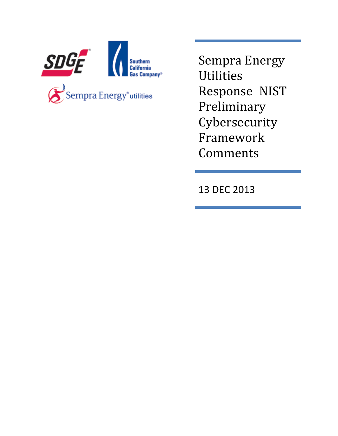

Sempra Energy Utilities Response NIST Preliminary **Cybersecurity** Framework Comments

13 DEC 2013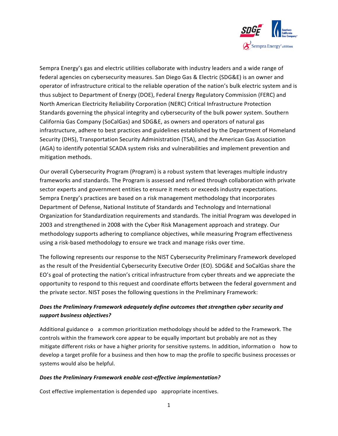

Sempra Energy's gas and electric utilities collaborate with industry leaders and a wide range of federal agencies on cybersecurity measures. San Diego Gas & Electric (SDG&E) is an owner and operator of infrastructure critical to the reliable operation of the nation's bulk electric system and is thus subject to Department of Energy (DOE), Federal Energy Regulatory Commission (FERC) and North American Electricity Reliability Corporation (NERC) Critical Infrastructure Protection Standards governing the physical integrity and cybersecurity of the bulk power system. Southern California Gas Company (SoCalGas) and SDG&E, as owners and operators of natural gas infrastructure, adhere to best practices and guidelines established by the Department of Homeland Security (DHS), Transportation Security Administration (TSA), and the American Gas Association (AGA) to identify potential SCADA system risks and vulnerabilities and implement prevention and mitigation methods.

Our overall Cybersecurity Program (Program) is a robust system that leverages multiple industry frameworks and standards. The Program is assessed and refined through collaboration with private sector experts and government entities to ensure it meets or exceeds industry expectations. Sempra Energy's practices are based on a risk management methodology that incorporates Department of Defense, National Institute of Standards and Technology and International Organization for Standardization requirements and standards. The initial Program was developed in 2003 and strengthened in 2008 with the Cyber Risk Management approach and strategy. Our methodology supports adhering to compliance objectives, while measuring Program effectiveness using a risk-based methodology to ensure we track and manage risks over time.

The following represents our response to the NIST Cybersecurity Preliminary Framework developed as the result of the Presidential Cybersecurity Executive Order (EO). SDG&E and SoCalGas share the EO's goal of protecting the nation's critical infrastructure from cyber threats and we appreciate the opportunity to respond to this request and coordinate efforts between the federal government and the private sector. NIST poses the following questions in the Preliminary Framework:

### *Does the Preliminary Framework adequately define outcomes that strengthen cyber security and support business objectives?*

Additional guidance o a common prioritization methodology should be added to the Framework. The controls within the framework core appear to be equally important but probably are not as they mitigate different risks or have a higher priority for sensitive systems. In addition, information o how to develop a target profile for a business and then how to map the profile to specific business processes or systems would also be helpful.

#### **Does the Preliminary Framework enable cost-effective implementation?**

Cost effective implementation is depended upo appropriate incentives.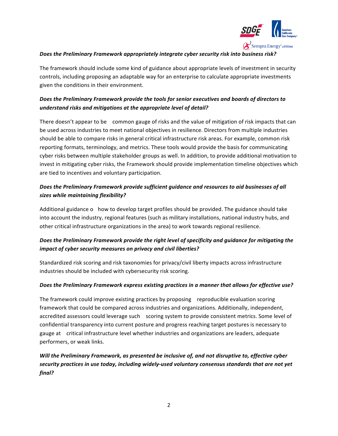

#### *Does the Preliminary Framework appropriately integrate cyber security risk into business risk?*

The framework should include some kind of guidance about appropriate levels of investment in security controls, including proposing an adaptable way for an enterprise to calculate appropriate investments given the conditions in their environment.

### *Does the Preliminary Framework provide the tools for senior executives and boards of directors to understand risks and mitigations at the appropriate level of detail?*

There doesn't appear to be common gauge of risks and the value of mitigation of risk impacts that can be used across industries to meet national objectives in resilience. Directors from multiple industries should be able to compare risks in general critical infrastructure risk areas. For example, common risk reporting formats, terminology, and metrics. These tools would provide the basis for communicating cyber risks between multiple stakeholder groups as well. In addition, to provide additional motivation to invest in mitigating cyber risks, the Framework should provide implementation timeline objectives which are tied to incentives and voluntary participation.

# *Does the Preliminary Framework provide sufficient guidance and resources to aid businesses of all sizes while maintaining flexibility?*

Additional guidance o how to develop target profiles should be provided. The guidance should take into account the industry, regional features (such as military installations, national industry hubs, and other critical infrastructure organizations in the area) to work towards regional resilience.

# *Does the Preliminary Framework provide the right level of specificity and guidance for mitigating the impact of cyber security measures on privacy and civil liberties?*

Standardized risk scoring and risk taxonomies for privacy/civil liberty impacts across infrastructure industries should be included with cybersecurity risk scoring.

#### *Does the Preliminary Framework express existing practices in a manner that allows for effective use?*

The framework could improve existing practices by proposing reproducible evaluation scoring framework that could be compared across industries and organizations. Additionally, independent, accredited assessors could leverage such scoring system to provide consistent metrics. Some level of confidential transparency into current posture and progress reaching target postures is necessary to gauge at critical infrastructure level whether industries and organizations are leaders, adequate performers, or weak links.

*Will the Preliminary Framework, as presented be inclusive of, and not disruptive to, effective cyber security practices in use today, including widely-used voluntary consensus standards that are not yet final?*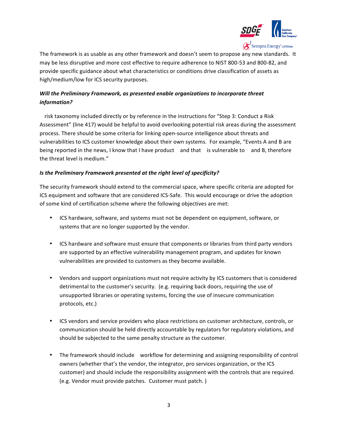

The framework is as usable as any other framework and doesn't seem to propose any new standards. It may be less disruptive and more cost effective to require adherence to NIST 800-53 and 800-82, and provide specific guidance about what characteristics or conditions drive classification of assets as high/medium/low for ICS security purposes.

# *Will the Preliminary Framework, as presented enable organizations to incorporate threat information?*

risk taxonomy included directly or by reference in the instructions for "Step 3: Conduct a Risk Assessment" (line 417) would be helpful to avoid overlooking potential risk areas during the assessment process. There should be some criteria for linking open-source intelligence about threats and vulnerabilities to ICS customer knowledge about their own systems. For example, "Events A and B are being reported in the news, I know that I have product and that is vulnerable to and B, therefore the threat level is medium."

### *Is the Preliminary Framework presented at the right level of specificity?*

The security framework should extend to the commercial space, where specific criteria are adopted for ICS equipment and software that are considered ICS-Safe. This would encourage or drive the adoption of some kind of certification scheme where the following objectives are met:

- • ICS hardware, software, and systems must not be dependent on equipment, software, or systems that are no longer supported by the vendor.
- ICS hardware and software must ensure that components or libraries from third party vendors are supported by an effective vulnerability management program, and updates for known vulnerabilities are provided to customers as they become available.
- • Vendors and support organizations must not require activity by ICS customers that is considered detrimental to the customer's security. (e.g. requiring back doors, requiring the use of unsupported libraries or operating systems, forcing the use of insecure communication protocols, etc.)
- • ICS vendors and service providers who place restrictions on customer architecture, controls, or communication should be held directly accountable by regulators for regulatory violations, and should be subjected to the same penalty structure as the customer.
- The framework should include workflow for determining and assigning responsibility of control owners (whether that's the vendor, the integrator, pro services organization, or the ICS customer) and should include the responsibility assignment with the controls that are required. (e.g. Vendor must provide patches. Customer must patch.)